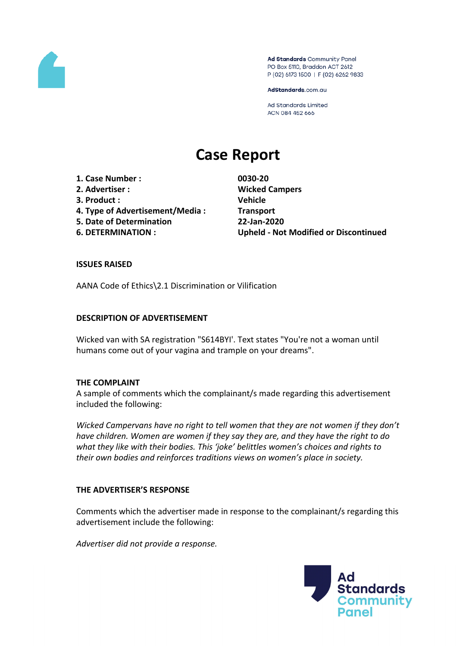

Ad Standards Community Panel PO Box 5110, Braddon ACT 2612 P (02) 6173 1500 | F (02) 6262 9833

AdStandards.com.au

Ad Standards Limited ACN 084 452 666

# **Case Report**

**1. Case Number : 0030-20 2. Advertiser : Wicked Campers**

- **3. Product : Vehicle**
- 
- **4. Type of Advertisement/Media : Transport 5. Date of Determination 22-Jan-2020**
- 

**6. DETERMINATION : Upheld - Not Modified or Discontinued**

## **ISSUES RAISED**

AANA Code of Ethics\2.1 Discrimination or Vilification

## **DESCRIPTION OF ADVERTISEMENT**

Wicked van with SA registration "S614BYI'. Text states "You're not a woman until humans come out of your vagina and trample on your dreams".

## **THE COMPLAINT**

A sample of comments which the complainant/s made regarding this advertisement included the following:

*Wicked Campervans have no right to tell women that they are not women if they don't have children. Women are women if they say they are, and they have the right to do what they like with their bodies. This 'joke' belittles women's choices and rights to their own bodies and reinforces traditions views on women's place in society.*

## **THE ADVERTISER'S RESPONSE**

Comments which the advertiser made in response to the complainant/s regarding this advertisement include the following:

*Advertiser did not provide a response.*

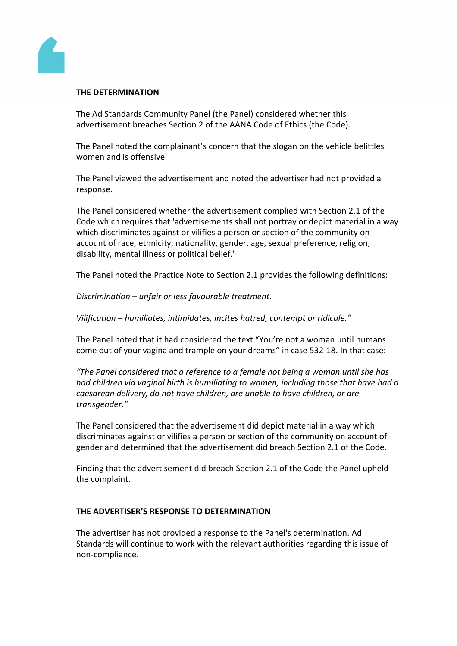

#### **THE DETERMINATION**

The Ad Standards Community Panel (the Panel) considered whether this advertisement breaches Section 2 of the AANA Code of Ethics (the Code).

The Panel noted the complainant's concern that the slogan on the vehicle belittles women and is offensive.

The Panel viewed the advertisement and noted the advertiser had not provided a response.

The Panel considered whether the advertisement complied with Section 2.1 of the Code which requires that 'advertisements shall not portray or depict material in a way which discriminates against or vilifies a person or section of the community on account of race, ethnicity, nationality, gender, age, sexual preference, religion, disability, mental illness or political belief.'

The Panel noted the Practice Note to Section 2.1 provides the following definitions:

*Discrimination – unfair or less favourable treatment.*

*Vilification – humiliates, intimidates, incites hatred, contempt or ridicule."* 

The Panel noted that it had considered the text "You're not a woman until humans come out of your vagina and trample on your dreams" in case 532-18. In that case:

*"The Panel considered that a reference to a female not being a woman until she has had children via vaginal birth is humiliating to women, including those that have had a caesarean delivery, do not have children, are unable to have children, or are transgender."*

The Panel considered that the advertisement did depict material in a way which discriminates against or vilifies a person or section of the community on account of gender and determined that the advertisement did breach Section 2.1 of the Code.

Finding that the advertisement did breach Section 2.1 of the Code the Panel upheld the complaint.

#### **THE ADVERTISER'S RESPONSE TO DETERMINATION**

The advertiser has not provided a response to the Panel's determination. Ad Standards will continue to work with the relevant authorities regarding this issue of non-compliance.